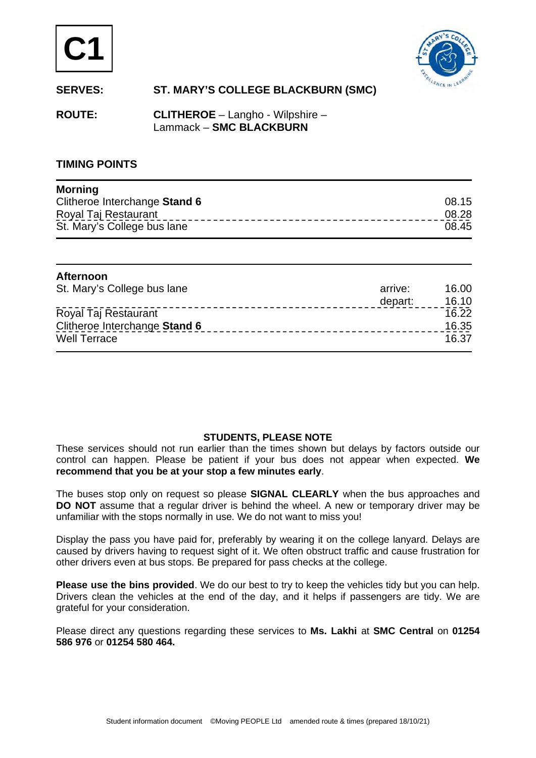



# **SERVES: ST. MARY'S COLLEGE BLACKBURN (SMC)**

**ROUTE: CLITHEROE** – Langho - Wilpshire – Lammack – **SMC BLACKBURN** 

## **TIMING POINTS**

| <b>Morning</b>                |       |
|-------------------------------|-------|
| Clitheroe Interchange Stand 6 | 08.15 |
| Royal Taj Restaurant          | 08.28 |
| St. Mary's College bus lane   | 08.45 |

| <b>Afternoon</b>              |         |       |
|-------------------------------|---------|-------|
| St. Mary's College bus lane   | arrive: | 16.00 |
|                               | depart: | 16.10 |
| Royal Taj Restaurant          |         | 16.22 |
| Clitheroe Interchange Stand 6 |         | 16.35 |
| <b>Well Terrace</b>           |         | 16.37 |

#### **STUDENTS, PLEASE NOTE**

These services should not run earlier than the times shown but delays by factors outside our control can happen. Please be patient if your bus does not appear when expected. **We recommend that you be at your stop a few minutes early**.

The buses stop only on request so please **SIGNAL CLEARLY** when the bus approaches and **DO NOT** assume that a regular driver is behind the wheel. A new or temporary driver may be unfamiliar with the stops normally in use. We do not want to miss you!

Display the pass you have paid for, preferably by wearing it on the college lanyard. Delays are caused by drivers having to request sight of it. We often obstruct traffic and cause frustration for other drivers even at bus stops. Be prepared for pass checks at the college.

**Please use the bins provided**. We do our best to try to keep the vehicles tidy but you can help. Drivers clean the vehicles at the end of the day, and it helps if passengers are tidy. We are grateful for your consideration.

Please direct any questions regarding these services to **Ms. Lakhi** at **SMC Central** on **01254 586 976** or **01254 580 464.**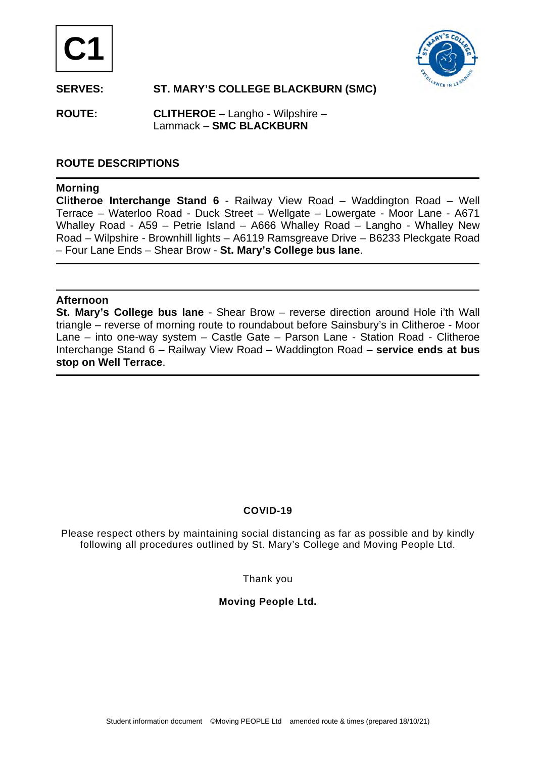



# **SERVES: ST. MARY'S COLLEGE BLACKBURN (SMC)**

**ROUTE: CLITHEROE** – Langho - Wilpshire – Lammack – **SMC BLACKBURN** 

# **ROUTE DESCRIPTIONS**

## **Morning**

**Clitheroe Interchange Stand 6** - Railway View Road – Waddington Road – Well Terrace – Waterloo Road - Duck Street – Wellgate – Lowergate - Moor Lane - A671 Whalley Road - A59 – Petrie Island – A666 Whalley Road – Langho - Whalley New Road – Wilpshire - Brownhill lights – A6119 Ramsgreave Drive – B6233 Pleckgate Road – Four Lane Ends – Shear Brow - **St. Mary's College bus lane**.

#### **Afternoon**

**St. Mary's College bus lane** - Shear Brow – reverse direction around Hole i'th Wall triangle – reverse of morning route to roundabout before Sainsbury's in Clitheroe - Moor Lane – into one-way system – Castle Gate – Parson Lane - Station Road - Clitheroe Interchange Stand 6 – Railway View Road – Waddington Road – **service ends at bus stop on Well Terrace**.

## **COVID-19**

Please respect others by maintaining social distancing as far as possible and by kindly following all procedures outlined by St. Mary's College and Moving People Ltd.

Thank you

## **Moving People Ltd.**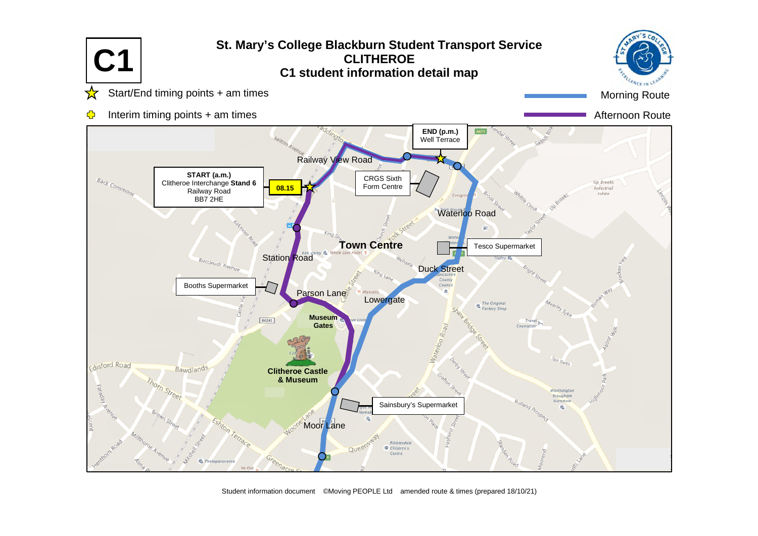

Student information document ©Moving PEOPLE Ltd amended route & times (prepared 18/10/21)